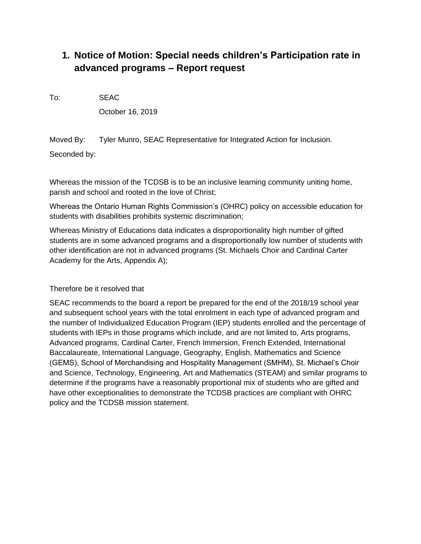# **1. Notice of Motion: Special needs children's Participation rate in advanced programs – Report request**

To: SEAC

October 16, 2019

Moved By: Tyler Munro, SEAC Representative for Integrated Action for Inclusion.

Seconded by:

Whereas the mission of the TCDSB is to be an inclusive learning community uniting home, parish and school and rooted in the love of Christ;

Whereas the Ontario Human Rights Commission's (OHRC) policy on accessible education for students with disabilities prohibits systemic discrimination;

Whereas Ministry of Educations data indicates a disproportionality high number of gifted students are in some advanced programs and a disproportionally low number of students with other identification are not in advanced programs (St. Michaels Choir and Cardinal Carter Academy for the Arts, Appendix A);

## Therefore be it resolved that

SEAC recommends to the board a report be prepared for the end of the 2018/19 school year and subsequent school years with the total enrolment in each type of advanced program and the number of Individualized Education Program (IEP) students enrolled and the percentage of students with IEPs in those programs which include, and are not limited to, Arts programs, Advanced programs, Cardinal Carter, French Immersion, French Extended, International Baccalaureate, International Language, Geography, English, Mathematics and Science (GEMS), School of Merchandising and Hospitality Management (SMHM), St. Michael's Choir and Science, Technology, Engineering, Art and Mathematics (STEAM) and similar programs to determine if the programs have a reasonably proportional mix of students who are gifted and have other exceptionalities to demonstrate the TCDSB practices are compliant with OHRC policy and the TCDSB mission statement.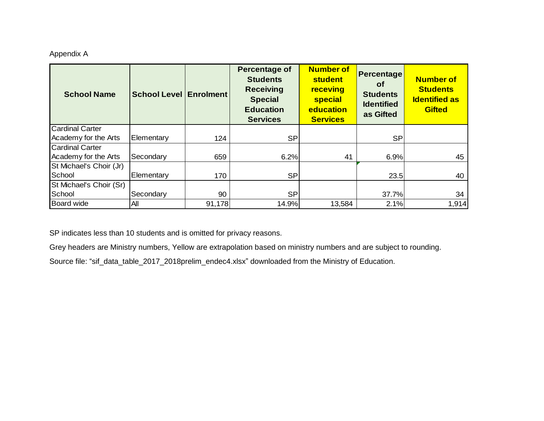## Appendix A

| <b>School Name</b>      | <b>School Level Enrolment</b> |        | <b>Percentage of</b><br><b>Students</b><br><b>Receiving</b><br><b>Special</b><br><b>Education</b><br><b>Services</b> | <b>Number of</b><br><b>student</b><br>receving<br><b>special</b><br>education<br><b>Services</b> | Percentage<br><b>of</b><br><b>Students</b><br><b>Identified</b><br>as Gifted | <b>Number of</b><br><b>Students</b><br><b>Identified as</b><br><b>Gifted</b> |
|-------------------------|-------------------------------|--------|----------------------------------------------------------------------------------------------------------------------|--------------------------------------------------------------------------------------------------|------------------------------------------------------------------------------|------------------------------------------------------------------------------|
| <b>Cardinal Carter</b>  |                               |        |                                                                                                                      |                                                                                                  |                                                                              |                                                                              |
| Academy for the Arts    | Elementary                    | 124    | <b>SP</b>                                                                                                            |                                                                                                  | <b>SP</b>                                                                    |                                                                              |
| <b>Cardinal Carter</b>  |                               |        |                                                                                                                      |                                                                                                  |                                                                              |                                                                              |
| Academy for the Arts    | Secondary                     | 659    | 6.2%                                                                                                                 | 41                                                                                               | 6.9%                                                                         | 45                                                                           |
| St Michael's Choir (Jr) |                               |        |                                                                                                                      |                                                                                                  |                                                                              |                                                                              |
| School                  | Elementary                    | 170    | <b>SP</b>                                                                                                            |                                                                                                  | 23.5                                                                         | 40                                                                           |
| St Michael's Choir (Sr) |                               |        |                                                                                                                      |                                                                                                  |                                                                              |                                                                              |
| School                  | Secondary                     | 90     | <b>SP</b>                                                                                                            |                                                                                                  | 37.7%                                                                        | 34                                                                           |
| <b>Board wide</b>       | All                           | 91,178 | 14.9%                                                                                                                | 13,584                                                                                           | 2.1%                                                                         | 1,914                                                                        |

SP indicates less than 10 students and is omitted for privacy reasons.

Grey headers are Ministry numbers, Yellow are extrapolation based on ministry numbers and are subject to rounding.

Source file: "sif\_data\_table\_2017\_2018prelim\_endec4.xlsx" downloaded from the Ministry of Education.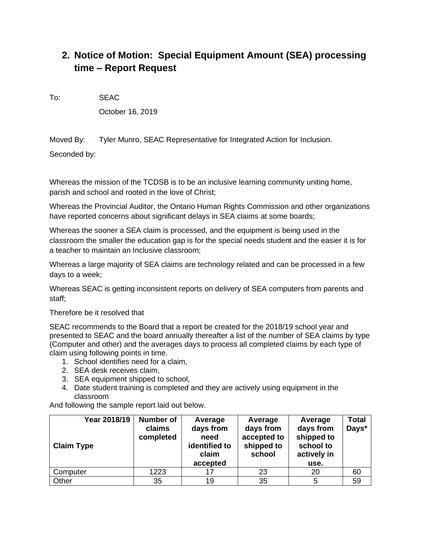# **2. Notice of Motion: Special Equipment Amount (SEA) processing time – Report Request**

To: SEAC

October 16, 2019

Moved By: Tyler Munro, SEAC Representative for Integrated Action for Inclusion.

Seconded by:

Whereas the mission of the TCDSB is to be an inclusive learning community uniting home, parish and school and rooted in the love of Christ;

Whereas the Provincial Auditor, the Ontario Human Rights Commission and other organizations have reported concerns about significant delays in SEA claims at some boards;

Whereas the sooner a SEA claim is processed, and the equipment is being used in the classroom the smaller the education gap is for the special needs student and the easier it is for a teacher to maintain an Inclusive classroom;

Whereas a large majority of SEA claims are technology related and can be processed in a few days to a week;

Whereas SEAC is getting inconsistent reports on delivery of SEA computers from parents and staff;

Therefore be it resolved that

SEAC recommends to the Board that a report be created for the 2018/19 school year and presented to SEAC and the board annually thereafter a list of the number of SEA claims by type (Computer and other) and the averages days to process all completed claims by each type of claim using following points in time.

- 1. School identifies need for a claim,
- 2. SEA desk receives claim,
- 3. SEA equipment shipped to school,
- 4. Date student training is completed and they are actively using equipment in the classroom

And following the sample report laid out below.

| Year 2018/19<br><b>Claim Type</b> | Number of<br>claims<br>completed | Average<br>days from<br>need<br>identified to<br>claim<br>accepted | Average<br>days from<br>accepted to<br>shipped to<br>school | Average<br>days from<br>shipped to<br>school to<br>actively in<br>use. | <b>Total</b><br>Days* |
|-----------------------------------|----------------------------------|--------------------------------------------------------------------|-------------------------------------------------------------|------------------------------------------------------------------------|-----------------------|
| Computer                          | 1223                             | 17                                                                 | 23                                                          | 20                                                                     | 60                    |
| Other                             | 35                               | 19                                                                 | 35                                                          | 5                                                                      | 59                    |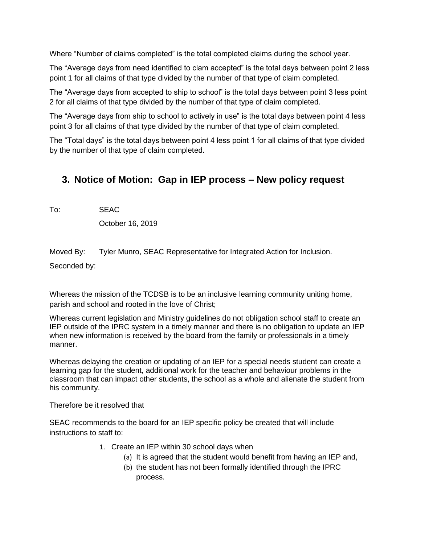Where "Number of claims completed" is the total completed claims during the school year.

The "Average days from need identified to clam accepted" is the total days between point 2 less point 1 for all claims of that type divided by the number of that type of claim completed.

The "Average days from accepted to ship to school" is the total days between point 3 less point 2 for all claims of that type divided by the number of that type of claim completed.

The "Average days from ship to school to actively in use" is the total days between point 4 less point 3 for all claims of that type divided by the number of that type of claim completed.

The "Total days" is the total days between point 4 less point 1 for all claims of that type divided by the number of that type of claim completed.

## **3. Notice of Motion: Gap in IEP process – New policy request**

To: SEAC

October 16, 2019

Moved By: Tyler Munro, SEAC Representative for Integrated Action for Inclusion.

Seconded by:

Whereas the mission of the TCDSB is to be an inclusive learning community uniting home, parish and school and rooted in the love of Christ;

Whereas current legislation and Ministry guidelines do not obligation school staff to create an IEP outside of the IPRC system in a timely manner and there is no obligation to update an IEP when new information is received by the board from the family or professionals in a timely manner.

Whereas delaying the creation or updating of an IEP for a special needs student can create a learning gap for the student, additional work for the teacher and behaviour problems in the classroom that can impact other students, the school as a whole and alienate the student from his community.

Therefore be it resolved that

SEAC recommends to the board for an IEP specific policy be created that will include instructions to staff to:

- 1. Create an IEP within 30 school days when
	- (a) It is agreed that the student would benefit from having an IEP and,
	- (b) the student has not been formally identified through the IPRC process.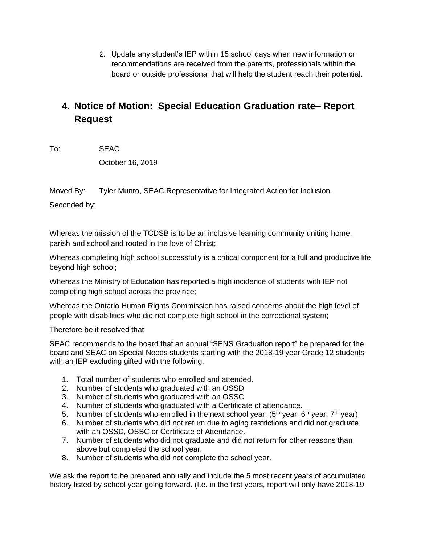2. Update any student's IEP within 15 school days when new information or recommendations are received from the parents, professionals within the board or outside professional that will help the student reach their potential.

## **4. Notice of Motion: Special Education Graduation rate– Report Request**

To: SEAC

October 16, 2019

Moved By: Tyler Munro, SEAC Representative for Integrated Action for Inclusion.

Seconded by:

Whereas the mission of the TCDSB is to be an inclusive learning community uniting home, parish and school and rooted in the love of Christ;

Whereas completing high school successfully is a critical component for a full and productive life beyond high school;

Whereas the Ministry of Education has reported a high incidence of students with IEP not completing high school across the province;

Whereas the Ontario Human Rights Commission has raised concerns about the high level of people with disabilities who did not complete high school in the correctional system;

Therefore be it resolved that

SEAC recommends to the board that an annual "SENS Graduation report" be prepared for the board and SEAC on Special Needs students starting with the 2018-19 year Grade 12 students with an IEP excluding gifted with the following.

- 1. Total number of students who enrolled and attended.
- 2. Number of students who graduated with an OSSD
- 3. Number of students who graduated with an OSSC
- 4. Number of students who graduated with a Certificate of attendance.
- 5. Number of students who enrolled in the next school year. (5<sup>th</sup> year, 6<sup>th</sup> year, 7<sup>th</sup> year)
- 6. Number of students who did not return due to aging restrictions and did not graduate with an OSSD, OSSC or Certificate of Attendance.
- 7. Number of students who did not graduate and did not return for other reasons than above but completed the school year.
- 8. Number of students who did not complete the school year.

We ask the report to be prepared annually and include the 5 most recent years of accumulated history listed by school year going forward. (I.e. in the first years, report will only have 2018-19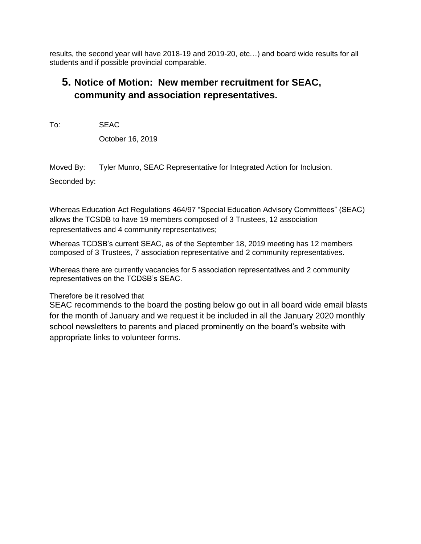results, the second year will have 2018-19 and 2019-20, etc…) and board wide results for all students and if possible provincial comparable.

## **5. Notice of Motion: New member recruitment for SEAC, community and association representatives.**

To: SEAC

October 16, 2019

Moved By: Tyler Munro, SEAC Representative for Integrated Action for Inclusion.

Seconded by:

Whereas Education Act Regulations 464/97 "Special Education Advisory Committees" (SEAC) allows the TCSDB to have 19 members composed of 3 Trustees, 12 association representatives and 4 community representatives;

Whereas TCDSB's current SEAC, as of the September 18, 2019 meeting has 12 members composed of 3 Trustees, 7 association representative and 2 community representatives.

Whereas there are currently vacancies for 5 association representatives and 2 community representatives on the TCDSB's SEAC.

## Therefore be it resolved that

SEAC recommends to the board the posting below go out in all board wide email blasts for the month of January and we request it be included in all the January 2020 monthly school newsletters to parents and placed prominently on the board's website with appropriate links to volunteer forms.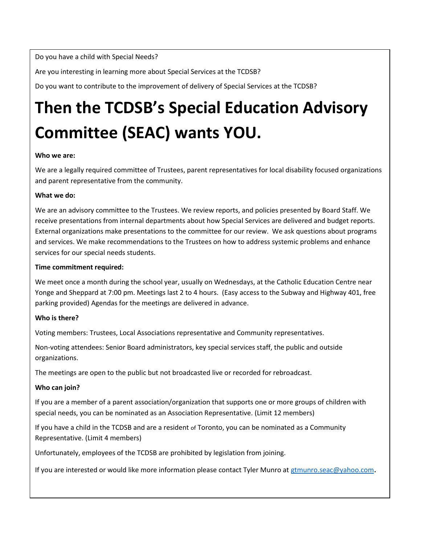Do you have a child with Special Needs?

Are you interesting in learning more about Special Services at the TCDSB?

Do you want to contribute to the improvement of delivery of Special Services at the TCDSB?

# **Then the TCDSB's Special Education Advisory Committee (SEAC) wants YOU.**

### **Who we are:**

We are a legally required committee of Trustees, parent representatives for local disability focused organizations and parent representative from the community.

### **What we do:**

We are an advisory committee to the Trustees. We review reports, and policies presented by Board Staff. We receive presentations from internal departments about how Special Services are delivered and budget reports. External organizations make presentations to the committee for our review. We ask questions about programs and services. We make recommendations to the Trustees on how to address systemic problems and enhance services for our special needs students.

### **Time commitment required:**

We meet once a month during the school year, usually on Wednesdays, at the Catholic Education Centre near Yonge and Sheppard at 7:00 pm. Meetings last 2 to 4 hours. (Easy access to the Subway and Highway 401, free parking provided) Agendas for the meetings are delivered in advance.

### **Who is there?**

Voting members: Trustees, Local Associations representative and Community representatives.

Non-voting attendees: Senior Board administrators, key special services staff, the public and outside organizations.

The meetings are open to the public but not broadcasted live or recorded for rebroadcast.

### **Who can join?**

If you are a member of a parent association/organization that supports one or more groups of children with special needs, you can be nominated as an Association Representative. (Limit 12 members)

If you have a child in the TCDSB and are a resident of Toronto, you can be nominated as a Community Representative. (Limit 4 members)

Unfortunately, employees of the TCDSB are prohibited by legislation from joining.

If you are interested or would like more information please contact Tyler Munro at [gtmunro.seac@yahoo.com](mailto:gtmunro.seac@yahoo.com).